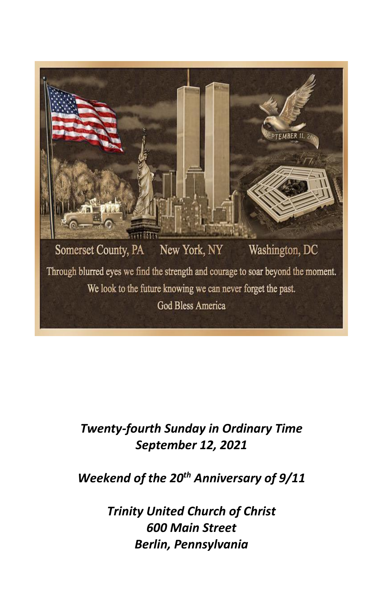

# *Twenty-fourth Sunday in Ordinary Time September 12, 2021*

## *Weekend of the 20th Anniversary of 9/11*

*Trinity United Church of Christ 600 Main Street Berlin, Pennsylvania*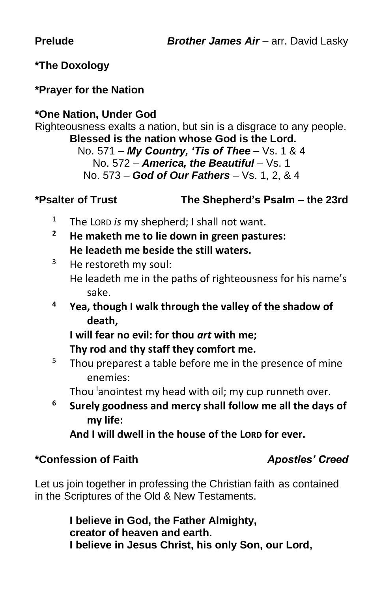#### **\*The Doxology**

#### **\*Prayer for the Nation**

### **\*One Nation, Under God**

Righteousness exalts a nation, but sin is a disgrace to any people. **Blessed is the nation whose God is the Lord.**

No. 571 – *My Country, 'Tis of Thee* – Vs. 1 & 4 No. 572 – *America, the Beautiful* – Vs. 1 No. 573 – *God of Our Fathers* – Vs. 1, 2, & 4

#### **\*Psalter of Trust The Shepherd's Psalm – the 23rd**

- <sup>1</sup> The LORD *is* my shepherd; I shall not want.
- **<sup>2</sup> He maketh me to lie down in green pastures: He leadeth me beside the still waters.**
- $3$  He restoreth my soul: He leadeth me in the paths of righteousness for his name's sake.
- **<sup>4</sup> Yea, though I walk through the valley of the shadow of death,**

**I will fear no evil: for thou** *art* **with me; Thy rod and thy staff they comfort me.**

 $5$  Thou preparest a table before me in the presence of mine enemies:

Thou anointest my head with oil; my cup runneth over.

**<sup>6</sup> Surely goodness and mercy shall follow me all the days of my life:**

**And I will dwell in the house of the LORD for ever.**

#### **\*Confession of Faith** *Apostles' Creed*

Let us join together in professing the Christian faith as contained in the Scriptures of the Old & New Testaments.

> **I believe in God, the Father Almighty, creator of heaven and earth. I believe in Jesus Christ, his only Son, our Lord,**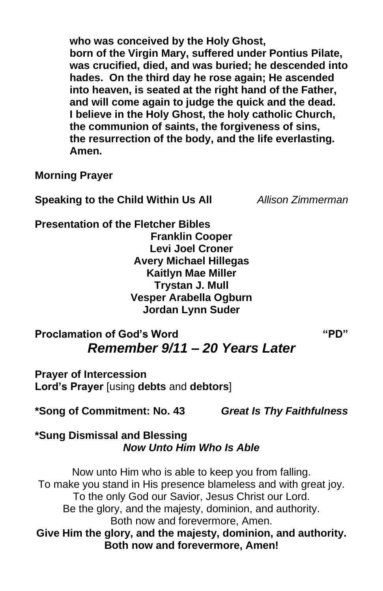**who was conceived by the Holy Ghost, born of the Virgin Mary, suffered under Pontius Pilate, was crucified, died, and was buried; he descended into hades. On the third day he rose again; He ascended into heaven, is seated at the right hand of the Father, and will come again to judge the quick and the dead. I believe in the Holy Ghost, the holy catholic Church, the communion of saints, the forgiveness of sins, the resurrection of the body, and the life everlasting. Amen.**

**Morning Prayer**

**Speaking to the Child Within Us All** *Allison Zimmerman*

**Presentation of the Fletcher Bibles Franklin Cooper Levi Joel Croner Avery Michael Hillegas Kaitlyn Mae Miller Trystan J. Mull Vesper Arabella Ogburn Jordan Lynn Suder**

## **Proclamation of God's Word "PD"** *Remember 9/11 – 20 Years Later*

**Prayer of Intercession Lord's Prayer** [using **debts** and **debtors**]

**\*Song of Commitment: No. 43** *Great Is Thy Faithfulness*

**\*Sung Dismissal and Blessing** *Now Unto Him Who Is Able*

Now unto Him who is able to keep you from falling. To make you stand in His presence blameless and with great joy. To the only God our Savior, Jesus Christ our Lord. Be the glory, and the majesty, dominion, and authority. Both now and forevermore, Amen. **Give Him the glory, and the majesty, dominion, and authority. Both now and forevermore, Amen!**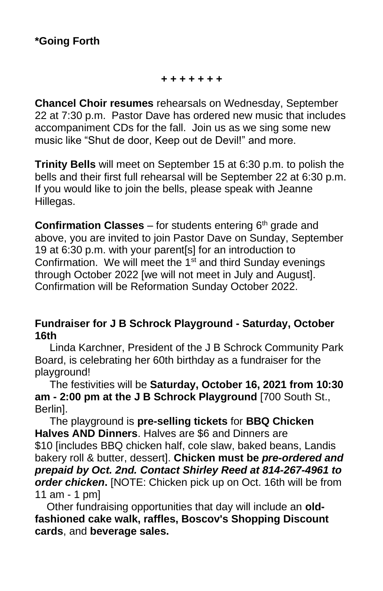#### *+ + + + + + +*

**Chancel Choir resumes** rehearsals on Wednesday, September 22 at 7:30 p.m. Pastor Dave has ordered new music that includes accompaniment CDs for the fall. Join us as we sing some new music like "Shut de door, Keep out de Devil!" and more.

**Trinity Bells** will meet on September 15 at 6:30 p.m. to polish the bells and their first full rehearsal will be September 22 at 6:30 p.m. If you would like to join the bells, please speak with Jeanne Hillegas.

**Confirmation Classes** – for students entering  $6<sup>th</sup>$  grade and above, you are invited to join Pastor Dave on Sunday, September 19 at 6:30 p.m. with your parent[s] for an introduction to Confirmation. We will meet the  $1<sup>st</sup>$  and third Sunday evenings through October 2022 [we will not meet in July and August]. Confirmation will be Reformation Sunday October 2022.

#### **Fundraiser for J B Schrock Playground - Saturday, October 16th**

Linda Karchner, President of the J B Schrock Community Park Board, is celebrating her 60th birthday as a fundraiser for the playground!

The festivities will be **Saturday, October 16, 2021 from 10:30 am - 2:00 pm at the J B Schrock Playground** [700 South St., Berlin].

The playground is **pre-selling tickets** for **BBQ Chicken Halves AND Dinners**. Halves are \$6 and Dinners are \$10 lincludes BBQ chicken half, cole slaw, baked beans, Landis bakery roll & butter, dessert]. **Chicken must be** *pre-ordered and prepaid by Oct. 2nd. Contact Shirley Reed at 814-267-4961 to order chicken***.** [NOTE: Chicken pick up on Oct. 16th will be from 11 am - 1 pm]

Other fundraising opportunities that day will include an **oldfashioned cake walk, raffles, Boscov's Shopping Discount cards**, and **beverage sales.**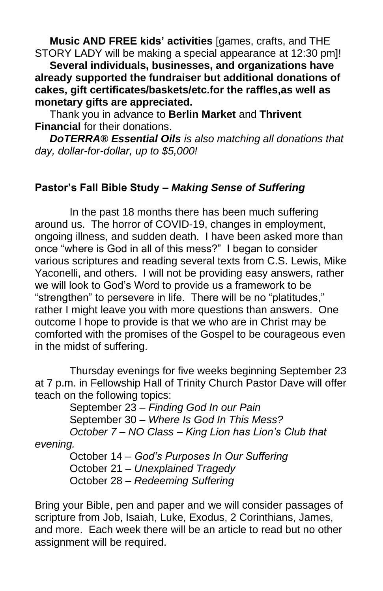**Music AND FREE kids' activities** [games, crafts, and THE STORY LADY will be making a special appearance at 12:30 pm]!

**Several individuals, businesses, and organizations have already supported the fundraiser but additional donations of cakes, gift certificates/baskets/etc.for the raffles,as well as monetary gifts are appreciated.** 

Thank you in advance to **Berlin Market** and **Thrivent Financial** for their donations.

*DoTERRA® Essential Oils is also matching all donations that day, dollar-for-dollar, up to \$5,000!*

#### **Pastor's Fall Bible Study –** *Making Sense of Suffering*

In the past 18 months there has been much suffering around us. The horror of COVID-19, changes in employment, ongoing illness, and sudden death. I have been asked more than once "where is God in all of this mess?" I began to consider various scriptures and reading several texts from C.S. Lewis, Mike Yaconelli, and others. I will not be providing easy answers, rather we will look to God's Word to provide us a framework to be "strengthen" to persevere in life. There will be no "platitudes," rather I might leave you with more questions than answers. One outcome I hope to provide is that we who are in Christ may be comforted with the promises of the Gospel to be courageous even in the midst of suffering.

Thursday evenings for five weeks beginning September 23 at 7 p.m. in Fellowship Hall of Trinity Church Pastor Dave will offer teach on the following topics:

September 23 – *Finding God In our Pain* September 30 – *Where Is God In This Mess? October 7 – NO Class – King Lion has Lion's Club that evening.*

October 14 – *God's Purposes In Our Suffering* October 21 – *Unexplained Tragedy* October 28 – *Redeeming Suffering*

Bring your Bible, pen and paper and we will consider passages of scripture from Job, Isaiah, Luke, Exodus, 2 Corinthians, James, and more. Each week there will be an article to read but no other assignment will be required.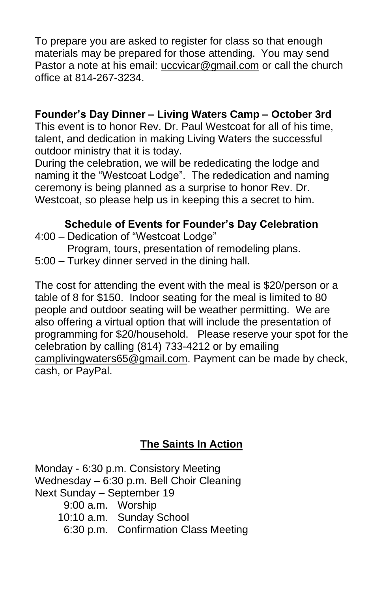To prepare you are asked to register for class so that enough materials may be prepared for those attending. You may send Pastor a note at his email: [uccvicar@gmail.com](mailto:uccvicar@gmail.com) or call the church office at 814-267-3234.

#### **Founder's Day Dinner – Living Waters Camp – October 3rd**

This event is to honor Rev. Dr. Paul Westcoat for all of his time, talent, and dedication in making Living Waters the successful outdoor ministry that it is today.

During the celebration, we will be rededicating the lodge and naming it the "Westcoat Lodge". The rededication and naming ceremony is being planned as a surprise to honor Rev. Dr. Westcoat, so please help us in keeping this a secret to him.

#### **Schedule of Events for Founder's Day Celebration**

- 4:00 Dedication of "Westcoat Lodge"
- Program, tours, presentation of remodeling plans. 5:00 – Turkey dinner served in the dining hall.
- 

The cost for attending the event with the meal is \$20/person or a table of 8 for \$150. Indoor seating for the meal is limited to 80 people and outdoor seating will be weather permitting. We are also offering a virtual option that will include the presentation of programming for \$20/household. Please reserve your spot for the celebration by calling (814) 733-4212 or by emailing [camplivingwaters65@gmail.com.](mailto:camplivingwaters65@gmail.com) Payment can be made by check, cash, or PayPal.

### **The Saints In Action**

Monday - 6:30 p.m. Consistory Meeting Wednesday – 6:30 p.m. Bell Choir Cleaning Next Sunday – September 19 9:00 a.m. Worship 10:10 a.m. Sunday School 6:30 p.m. Confirmation Class Meeting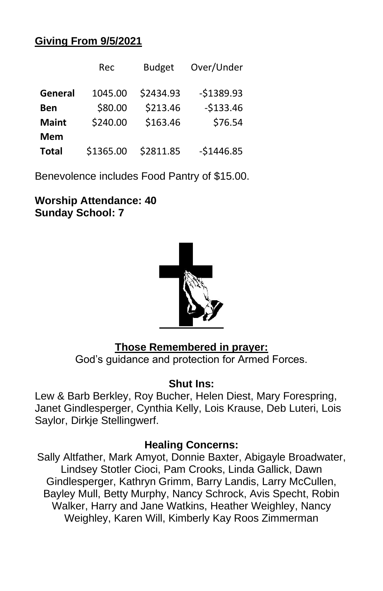#### **Giving From 9/5/2021**

|              | Rec       | <b>Budget</b> | Over/Under  |
|--------------|-----------|---------------|-------------|
| General      | 1045.00   | \$2434.93     | $-51389.93$ |
| Ben          | \$80.00   | \$213.46      | $-$133.46$  |
| <b>Maint</b> | \$240.00  | \$163.46      | \$76.54     |
| <b>Mem</b>   |           |               |             |
| <b>Total</b> | \$1365.00 | \$2811.85     | $-$1446.85$ |

Benevolence includes Food Pantry of \$15.00.

**Worship Attendance: 40 Sunday School: 7**



#### **Those Remembered in prayer:**

God's guidance and protection for Armed Forces.

#### **Shut Ins:**

Lew & Barb Berkley, Roy Bucher, Helen Diest, Mary Forespring, Janet Gindlesperger, Cynthia Kelly, Lois Krause, Deb Luteri, Lois Saylor, Dirkje Stellingwerf.

#### **Healing Concerns:**

Sally Altfather, Mark Amyot, Donnie Baxter, Abigayle Broadwater, Lindsey Stotler Cioci, Pam Crooks, Linda Gallick, Dawn Gindlesperger, Kathryn Grimm, Barry Landis, Larry McCullen, Bayley Mull, Betty Murphy, Nancy Schrock, Avis Specht, Robin Walker, Harry and Jane Watkins, Heather Weighley, Nancy Weighley, Karen Will, Kimberly Kay Roos Zimmerman